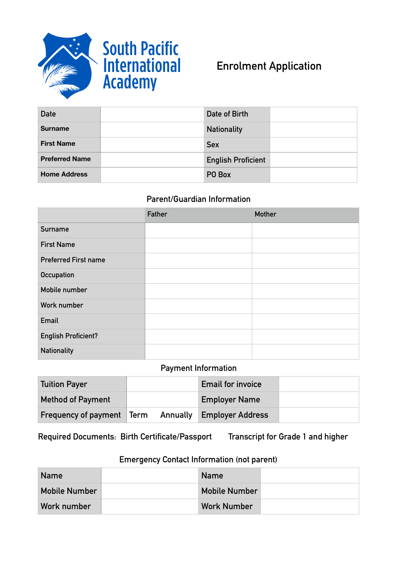



# **Enrolment Application**

| <b>Date</b>           | Date of Birth             |  |
|-----------------------|---------------------------|--|
| <b>Surname</b>        | <b>Nationality</b>        |  |
| <b>First Name</b>     | <b>Sex</b>                |  |
| <b>Preferred Name</b> | <b>English Proficient</b> |  |
| <b>Home Address</b>   | PO Box                    |  |

# **Parent/Guardian Information**

|                             | Father | <b>Mother</b> |
|-----------------------------|--------|---------------|
| Surname                     |        |               |
| <b>First Name</b>           |        |               |
| <b>Preferred First name</b> |        |               |
| Occupation                  |        |               |
| Mobile number               |        |               |
| Work number                 |        |               |
| Email                       |        |               |
| <b>English Proficient?</b>  |        |               |
| <b>Nationality</b>          |        |               |

### **Payment Information**

| Tuition Payer                    |  | <b>Email for invoice</b>         |
|----------------------------------|--|----------------------------------|
| <b>Method of Payment</b>         |  | <b>Employer Name</b>             |
| <b>Frequency of payment Term</b> |  | <b>Annually Employer Address</b> |

**Required Documents: Birth Certificate/Passport Transcript for Grade 1 and higher** 

# **Emergency Contact Information (not parent)**

| <b>Name</b>          | <b>Name</b>          |  |
|----------------------|----------------------|--|
| <b>Mobile Number</b> | <b>Mobile Number</b> |  |
| Work number          | <b>Work Number</b>   |  |